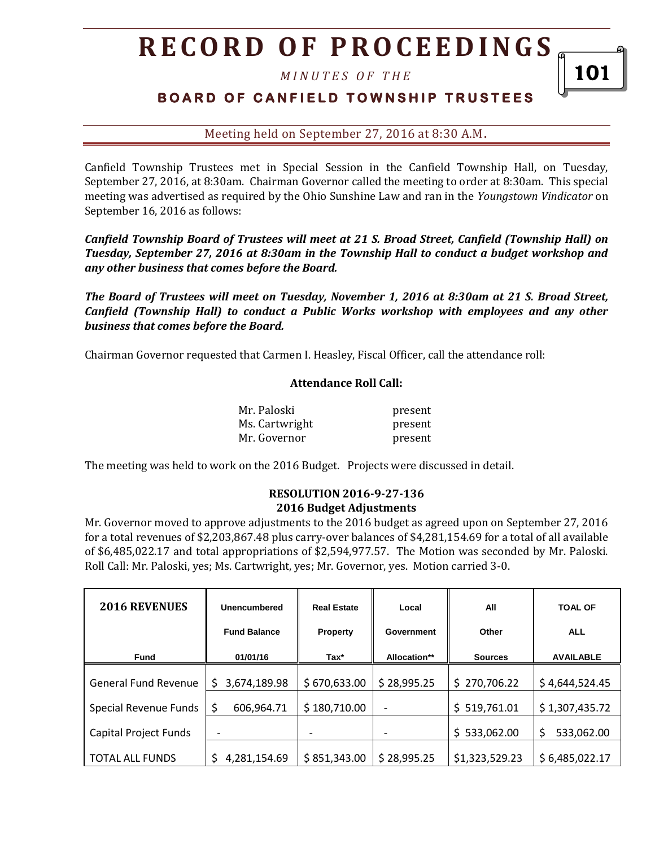*M I N U T E S O F T H E* 

## **BOARD OF CANFIELD TOWNSHIP TRUSTEES**

Meeting held on September 27, 2016 at 8:30 A.M**.**

Canfield Township Trustees met in Special Session in the Canfield Township Hall, on Tuesday, September 27, 2016, at 8:30am. Chairman Governor called the meeting to order at 8:30am. This special meeting was advertised as required by the Ohio Sunshine Law and ran in the *Youngstown Vindicator* on September 16, 2016 as follows:

*Canfield Township Board of Trustees will meet at 21 S. Broad Street, Canfield (Township Hall) on Tuesday, September 27, 2016 at 8:30am in the Township Hall to conduct a budget workshop and any other business that comes before the Board.* 

*The Board of Trustees will meet on Tuesday, November 1, 2016 at 8:30am at 21 S. Broad Street, Canfield (Township Hall) to conduct a Public Works workshop with employees and any other business that comes before the Board.* 

Chairman Governor requested that Carmen I. Heasley, Fiscal Officer, call the attendance roll:

#### **Attendance Roll Call:**

| Mr. Paloski    | present |
|----------------|---------|
| Ms. Cartwright | present |
| Mr. Governor   | present |

The meeting was held to work on the 2016 Budget. Projects were discussed in detail.

#### **RESOLUTION 2016-9-27-136 2016 Budget Adjustments**

Mr. Governor moved to approve adjustments to the 2016 budget as agreed upon on September 27, 2016 for a total revenues of \$2,203,867.48 plus carry-over balances of \$4,281,154.69 for a total of all available of \$6,485,022.17 and total appropriations of \$2,594,977.57. The Motion was seconded by Mr. Paloski. Roll Call: Mr. Paloski, yes; Ms. Cartwright, yes; Mr. Governor, yes. Motion carried 3-0.

| <b>2016 REVENUES</b>        | Unencumbered        | <b>Real Estate</b> | Local        | All            | <b>TOAL OF</b>   |  |
|-----------------------------|---------------------|--------------------|--------------|----------------|------------------|--|
|                             | <b>Fund Balance</b> | <b>Property</b>    | Government   | Other          | <b>ALL</b>       |  |
| <b>Fund</b>                 | 01/01/16            | Tax*               | Allocation** | <b>Sources</b> | <b>AVAILABLE</b> |  |
| <b>General Fund Revenue</b> | 3,674,189.98<br>Ś   | \$670,633.00       | \$28,995.25  | \$270,706.22   | \$4,644,524.45   |  |
| Special Revenue Funds       | \$<br>606,964.71    | \$180,710.00       |              | \$519,761.01   | \$1,307,435.72   |  |
| Capital Project Funds       |                     |                    |              | \$533,062.00   | \$<br>533,062.00 |  |
| <b>TOTAL ALL FUNDS</b>      | S.<br>4,281,154.69  | \$851,343.00       | \$28,995.25  | \$1,323,529.23 | \$6,485,022.17   |  |

101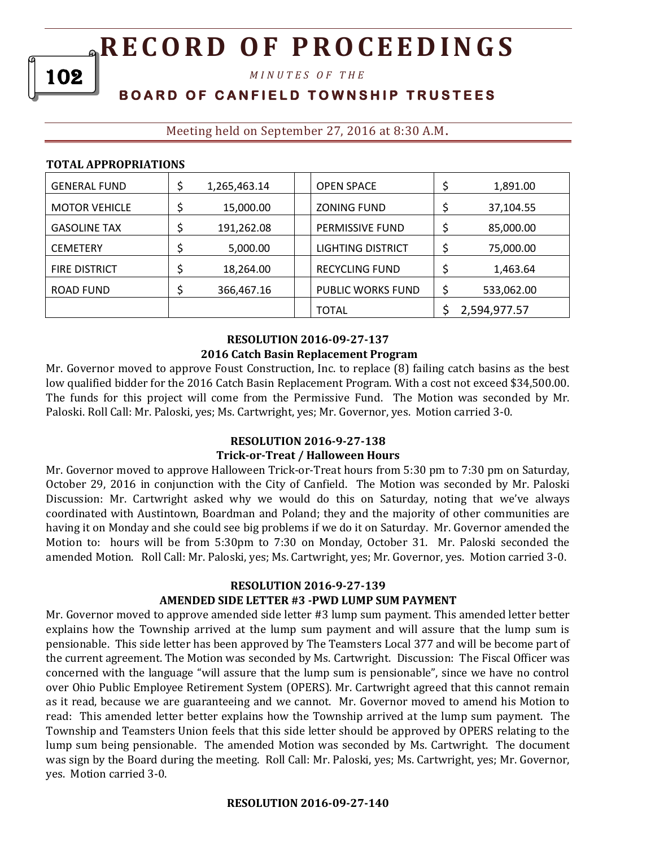*M I N U T E S O F T H E* 

## **B O A R D O F C A N F I E L D T O W N S H I P T R U S T E E S**

## Meeting held on September 27, 2016 at 8:30 A.M**.**

|--|

102

| <b>GENERAL FUND</b>  | 1,265,463.14 | <b>OPEN SPACE</b>      | 1,891.00     |
|----------------------|--------------|------------------------|--------------|
| <b>MOTOR VEHICLE</b> | 15,000.00    | <b>ZONING FUND</b>     | 37,104.55    |
| <b>GASOLINE TAX</b>  | 191,262.08   | <b>PERMISSIVE FUND</b> | 85,000.00    |
| <b>CEMETERY</b>      | 5,000.00     | LIGHTING DISTRICT      | 75,000.00    |
| <b>FIRE DISTRICT</b> | 18,264.00    | <b>RECYCLING FUND</b>  | 1,463.64     |
| ROAD FUND            | 366,467.16   | PUBLIC WORKS FUND      | 533,062.00   |
|                      |              | <b>TOTAL</b>           | 2,594,977.57 |

#### **RESOLUTION 2016-09-27-137 2016 Catch Basin Replacement Program**

Mr. Governor moved to approve Foust Construction, Inc. to replace (8) failing catch basins as the best low qualified bidder for the 2016 Catch Basin Replacement Program. With a cost not exceed \$34,500.00. The funds for this project will come from the Permissive Fund. The Motion was seconded by Mr. Paloski. Roll Call: Mr. Paloski, yes; Ms. Cartwright, yes; Mr. Governor, yes. Motion carried 3-0.

#### **RESOLUTION 2016-9-27-138**

#### **Trick-or-Treat / Halloween Hours**

Mr. Governor moved to approve Halloween Trick-or-Treat hours from 5:30 pm to 7:30 pm on Saturday, October 29, 2016 in conjunction with the City of Canfield. The Motion was seconded by Mr. Paloski Discussion: Mr. Cartwright asked why we would do this on Saturday, noting that we've always coordinated with Austintown, Boardman and Poland; they and the majority of other communities are having it on Monday and she could see big problems if we do it on Saturday. Mr. Governor amended the Motion to: hours will be from 5:30pm to 7:30 on Monday, October 31. Mr. Paloski seconded the amended Motion. Roll Call: Mr. Paloski, yes; Ms. Cartwright, yes; Mr. Governor, yes. Motion carried 3-0.

#### **RESOLUTION 2016-9-27-139 AMENDED SIDE LETTER #3 -PWD LUMP SUM PAYMENT**

Mr. Governor moved to approve amended side letter #3 lump sum payment. This amended letter better explains how the Township arrived at the lump sum payment and will assure that the lump sum is pensionable. This side letter has been approved by The Teamsters Local 377 and will be become part of the current agreement. The Motion was seconded by Ms. Cartwright. Discussion: The Fiscal Officer was concerned with the language "will assure that the lump sum is pensionable", since we have no control over Ohio Public Employee Retirement System (OPERS). Mr. Cartwright agreed that this cannot remain as it read, because we are guaranteeing and we cannot. Mr. Governor moved to amend his Motion to read: This amended letter better explains how the Township arrived at the lump sum payment. The Township and Teamsters Union feels that this side letter should be approved by OPERS relating to the lump sum being pensionable. The amended Motion was seconded by Ms. Cartwright. The document was sign by the Board during the meeting. Roll Call: Mr. Paloski, yes; Ms. Cartwright, yes; Mr. Governor, yes. Motion carried 3-0.

#### **RESOLUTION 2016-09-27-140**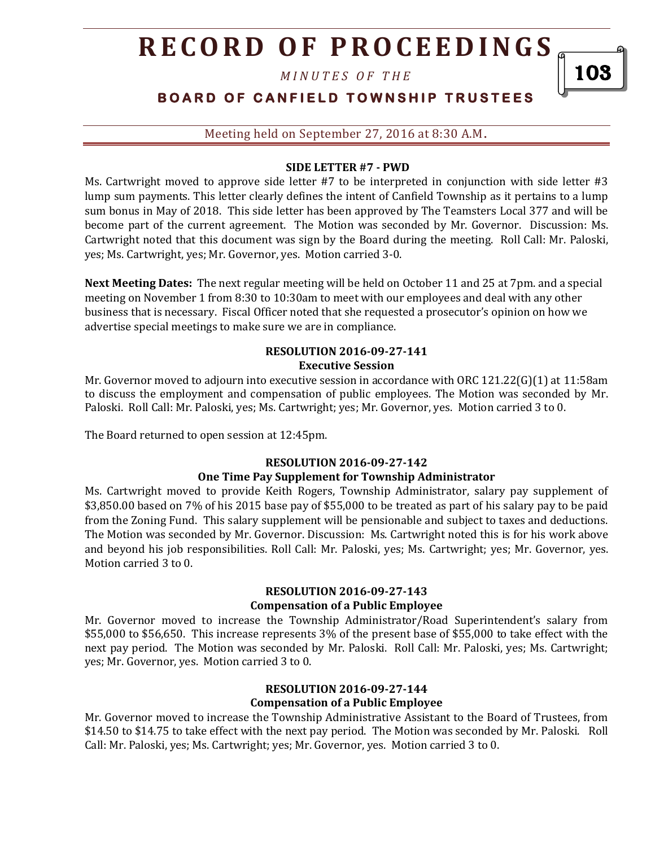*M I N U T E S O F T H E* 

# **BOARD OF CANFIELD TOWNSHIP TRUSTEES**

103

#### Meeting held on September 27, 2016 at 8:30 A.M**.**

#### **SIDE LETTER #7 - PWD**

Ms. Cartwright moved to approve side letter #7 to be interpreted in conjunction with side letter #3 lump sum payments. This letter clearly defines the intent of Canfield Township as it pertains to a lump sum bonus in May of 2018. This side letter has been approved by The Teamsters Local 377 and will be become part of the current agreement. The Motion was seconded by Mr. Governor. Discussion: Ms. Cartwright noted that this document was sign by the Board during the meeting. Roll Call: Mr. Paloski, yes; Ms. Cartwright, yes; Mr. Governor, yes. Motion carried 3-0.

**Next Meeting Dates:** The next regular meeting will be held on October 11 and 25 at 7pm. and a special meeting on November 1 from 8:30 to 10:30am to meet with our employees and deal with any other business that is necessary. Fiscal Officer noted that she requested a prosecutor's opinion on how we advertise special meetings to make sure we are in compliance.

#### **RESOLUTION 2016-09-27-141 Executive Session**

Mr. Governor moved to adjourn into executive session in accordance with ORC 121.22(G)(1) at 11:58am to discuss the employment and compensation of public employees. The Motion was seconded by Mr. Paloski. Roll Call: Mr. Paloski, yes; Ms. Cartwright; yes; Mr. Governor, yes. Motion carried 3 to 0.

The Board returned to open session at 12:45pm.

### **RESOLUTION 2016-09-27-142 One Time Pay Supplement for Township Administrator**

Ms. Cartwright moved to provide Keith Rogers, Township Administrator, salary pay supplement of \$3,850.00 based on 7% of his 2015 base pay of \$55,000 to be treated as part of his salary pay to be paid from the Zoning Fund. This salary supplement will be pensionable and subject to taxes and deductions. The Motion was seconded by Mr. Governor. Discussion: Ms. Cartwright noted this is for his work above and beyond his job responsibilities. Roll Call: Mr. Paloski, yes; Ms. Cartwright; yes; Mr. Governor, yes. Motion carried 3 to 0.

#### **RESOLUTION 2016-09-27-143 Compensation of a Public Employee**

Mr. Governor moved to increase the Township Administrator/Road Superintendent's salary from \$55,000 to \$56,650. This increase represents 3% of the present base of \$55,000 to take effect with the next pay period. The Motion was seconded by Mr. Paloski. Roll Call: Mr. Paloski, yes; Ms. Cartwright; yes; Mr. Governor, yes. Motion carried 3 to 0.

## **RESOLUTION 2016-09-27-144 Compensation of a Public Employee**

Mr. Governor moved to increase the Township Administrative Assistant to the Board of Trustees, from \$14.50 to \$14.75 to take effect with the next pay period. The Motion was seconded by Mr. Paloski. Roll Call: Mr. Paloski, yes; Ms. Cartwright; yes; Mr. Governor, yes. Motion carried 3 to 0.